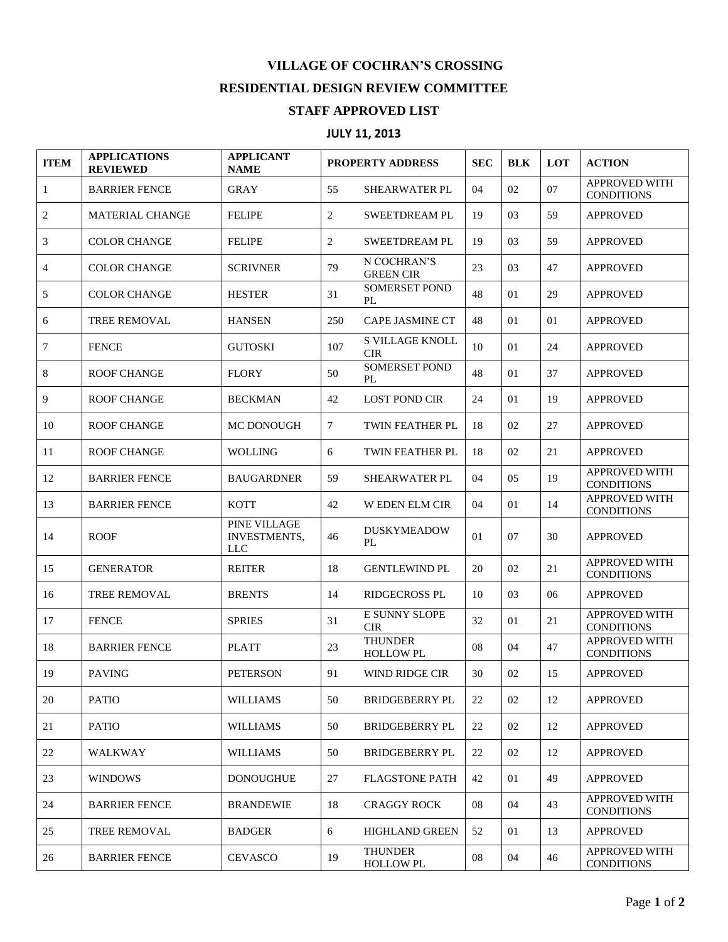## **VILLAGE OF COCHRAN'S CROSSING**

## **RESIDENTIAL DESIGN REVIEW COMMITTEE**

## **STAFF APPROVED LIST**

## **JULY 11, 2013**

| <b>ITEM</b>    | <b>APPLICATIONS</b><br><b>REVIEWED</b> | <b>APPLICANT</b><br><b>NAME</b>                   | <b>PROPERTY ADDRESS</b> |                                      | <b>SEC</b> | <b>BLK</b>     | LOT | <b>ACTION</b>                             |
|----------------|----------------------------------------|---------------------------------------------------|-------------------------|--------------------------------------|------------|----------------|-----|-------------------------------------------|
| 1              | <b>BARRIER FENCE</b>                   | <b>GRAY</b>                                       | 55                      | <b>SHEARWATER PL</b>                 | 04         | 02             | 07  | <b>APPROVED WITH</b><br><b>CONDITIONS</b> |
| 2              | <b>MATERIAL CHANGE</b>                 | <b>FELIPE</b>                                     | 2                       | <b>SWEETDREAM PL</b>                 | 19         | 03             | 59  | <b>APPROVED</b>                           |
| 3              | <b>COLOR CHANGE</b>                    | <b>FELIPE</b>                                     | $\overline{2}$          | <b>SWEETDREAM PL</b>                 | 19         | 03             | 59  | <b>APPROVED</b>                           |
| 4              | <b>COLOR CHANGE</b>                    | <b>SCRIVNER</b>                                   | 79                      | N COCHRAN'S<br><b>GREEN CIR</b>      | 23         | 03             | 47  | <b>APPROVED</b>                           |
| 5              | <b>COLOR CHANGE</b>                    | <b>HESTER</b>                                     | 31                      | SOMERSET POND<br>PL                  | 48         | 01             | 29  | <b>APPROVED</b>                           |
| 6              | <b>TREE REMOVAL</b>                    | <b>HANSEN</b>                                     | 250                     | <b>CAPE JASMINE CT</b>               | 48         | 01             | 01  | <b>APPROVED</b>                           |
| $\overline{7}$ | <b>FENCE</b>                           | <b>GUTOSKI</b>                                    | 107                     | <b>S VILLAGE KNOLL</b><br><b>CIR</b> | 10         | 01             | 24  | <b>APPROVED</b>                           |
| 8              | <b>ROOF CHANGE</b>                     | <b>FLORY</b>                                      | 50                      | <b>SOMERSET POND</b><br>PL           | 48         | 01             | 37  | <b>APPROVED</b>                           |
| 9              | <b>ROOF CHANGE</b>                     | <b>BECKMAN</b>                                    | 42                      | <b>LOST POND CIR</b>                 | 24         | 01             | 19  | APPROVED                                  |
| 10             | <b>ROOF CHANGE</b>                     | MC DONOUGH                                        | $\tau$                  | TWIN FEATHER PL                      | 18         | 02             | 27  | <b>APPROVED</b>                           |
| 11             | <b>ROOF CHANGE</b>                     | <b>WOLLING</b>                                    | 6                       | TWIN FEATHER PL                      | 18         | 02             | 21  | <b>APPROVED</b>                           |
| 12             | <b>BARRIER FENCE</b>                   | <b>BAUGARDNER</b>                                 | 59                      | <b>SHEARWATER PL</b>                 | 04         | 0 <sub>5</sub> | 19  | <b>APPROVED WITH</b><br><b>CONDITIONS</b> |
| 13             | <b>BARRIER FENCE</b>                   | <b>KOTT</b>                                       | 42                      | <b>W EDEN ELM CIR</b>                | 04         | 01             | 14  | APPROVED WITH<br><b>CONDITIONS</b>        |
| 14             | <b>ROOF</b>                            | PINE VILLAGE<br><b>INVESTMENTS,</b><br><b>LLC</b> | 46                      | <b>DUSKYMEADOW</b><br>PL             | 01         | 07             | 30  | <b>APPROVED</b>                           |
| 15             | <b>GENERATOR</b>                       | <b>REITER</b>                                     | 18                      | <b>GENTLEWIND PL</b>                 | 20         | 02             | 21  | <b>APPROVED WITH</b><br><b>CONDITIONS</b> |
| 16             | <b>TREE REMOVAL</b>                    | <b>BRENTS</b>                                     | 14                      | <b>RIDGECROSS PL</b>                 | 10         | 03             | 06  | <b>APPROVED</b>                           |
| 17             | <b>FENCE</b>                           | <b>SPRIES</b>                                     | 31                      | E SUNNY SLOPE<br><b>CIR</b>          | 32         | 01             | 21  | <b>APPROVED WITH</b><br><b>CONDITIONS</b> |
| 18             | <b>BARRIER FENCE</b>                   | <b>PLATT</b>                                      | 23                      | <b>THUNDER</b><br><b>HOLLOW PL</b>   | 08         | 04             | 47  | APPROVED WITH<br><b>CONDITIONS</b>        |
| 19             | <b>PAVING</b>                          | <b>PETERSON</b>                                   | 91                      | WIND RIDGE CIR                       | 30         | 02             | 15  | <b>APPROVED</b>                           |
| 20             | <b>PATIO</b>                           | WILLIAMS                                          | 50                      | <b>BRIDGEBERRY PL</b>                | 22         | 02             | 12  | <b>APPROVED</b>                           |
| 21             | <b>PATIO</b>                           | WILLIAMS                                          | 50                      | <b>BRIDGEBERRY PL</b>                | 22         | 02             | 12  | <b>APPROVED</b>                           |
| 22             | <b>WALKWAY</b>                         | <b>WILLIAMS</b>                                   | 50                      | <b>BRIDGEBERRY PL</b>                | 22         | 02             | 12  | <b>APPROVED</b>                           |
| 23             | <b>WINDOWS</b>                         | <b>DONOUGHUE</b>                                  | 27                      | <b>FLAGSTONE PATH</b>                | 42         | 01             | 49  | <b>APPROVED</b>                           |
| 24             | <b>BARRIER FENCE</b>                   | <b>BRANDEWIE</b>                                  | 18                      | <b>CRAGGY ROCK</b>                   | 08         | 04             | 43  | APPROVED WITH<br><b>CONDITIONS</b>        |
| 25             | <b>TREE REMOVAL</b>                    | <b>BADGER</b>                                     | 6                       | <b>HIGHLAND GREEN</b>                | 52         | 01             | 13  | <b>APPROVED</b>                           |
| 26             | <b>BARRIER FENCE</b>                   | <b>CEVASCO</b>                                    | 19                      | <b>THUNDER</b><br><b>HOLLOW PL</b>   | 08         | 04             | 46  | <b>APPROVED WITH</b><br><b>CONDITIONS</b> |